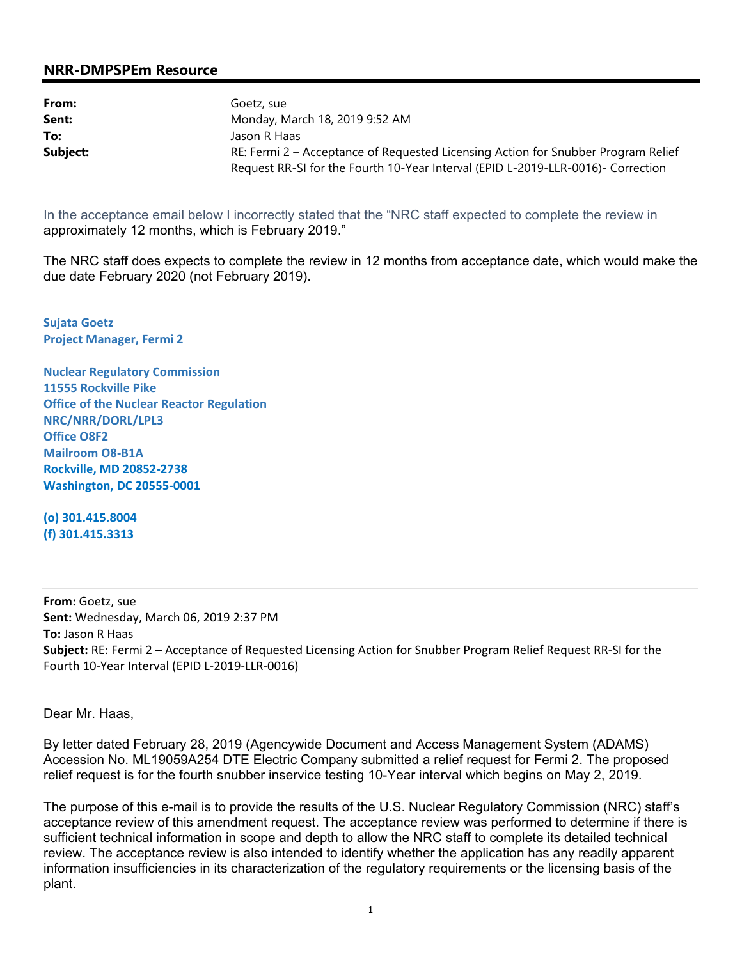## **NRR-DMPSPEm Resource**

| From:    | Goetz, sue                                                                        |  |
|----------|-----------------------------------------------------------------------------------|--|
| Sent:    | Monday, March 18, 2019 9:52 AM                                                    |  |
| To:      | Jason R Haas                                                                      |  |
| Subject: | RE: Fermi 2 – Acceptance of Requested Licensing Action for Snubber Program Relief |  |
|          | Request RR-SI for the Fourth 10-Year Interval (EPID L-2019-LLR-0016)- Correction  |  |

In the acceptance email below I incorrectly stated that the "NRC staff expected to complete the review in approximately 12 months, which is February 2019."

The NRC staff does expects to complete the review in 12 months from acceptance date, which would make the due date February 2020 (not February 2019).

**Sujata Goetz Project Manager, Fermi 2** 

**Nuclear Regulatory Commission 11555 Rockville Pike Office of the Nuclear Reactor Regulation NRC/NRR/DORL/LPL3 Office O8F2 Mailroom O8-B1A Rockville, MD 20852-2738 Washington, DC 20555-0001** 

**(o) 301.415.8004 (f) 301.415.3313** 

**From:** Goetz, sue **Sent:** Wednesday, March 06, 2019 2:37 PM **To:** Jason R Haas **Subject:** RE: Fermi 2 – Acceptance of Requested Licensing Action for Snubber Program Relief Request RR-SI for the Fourth 10-Year Interval (EPID L-2019-LLR-0016)

Dear Mr. Haas,

By letter dated February 28, 2019 (Agencywide Document and Access Management System (ADAMS) Accession No. ML19059A254 DTE Electric Company submitted a relief request for Fermi 2. The proposed relief request is for the fourth snubber inservice testing 10-Year interval which begins on May 2, 2019.

The purpose of this e-mail is to provide the results of the U.S. Nuclear Regulatory Commission (NRC) staff's acceptance review of this amendment request. The acceptance review was performed to determine if there is sufficient technical information in scope and depth to allow the NRC staff to complete its detailed technical review. The acceptance review is also intended to identify whether the application has any readily apparent information insufficiencies in its characterization of the regulatory requirements or the licensing basis of the plant.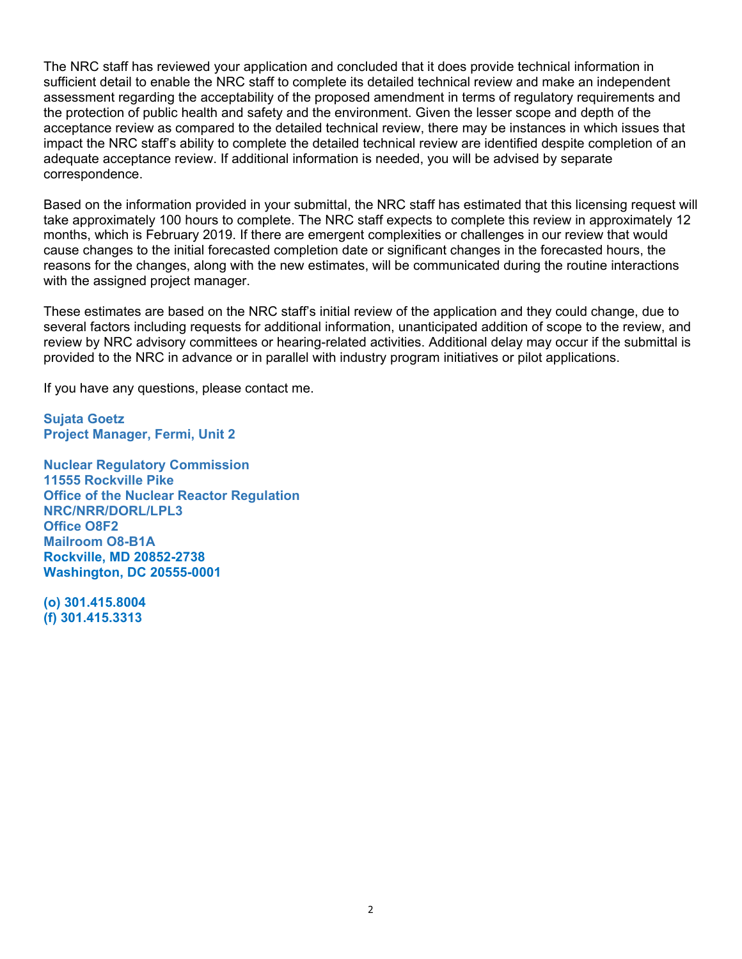The NRC staff has reviewed your application and concluded that it does provide technical information in sufficient detail to enable the NRC staff to complete its detailed technical review and make an independent assessment regarding the acceptability of the proposed amendment in terms of regulatory requirements and the protection of public health and safety and the environment. Given the lesser scope and depth of the acceptance review as compared to the detailed technical review, there may be instances in which issues that impact the NRC staff's ability to complete the detailed technical review are identified despite completion of an adequate acceptance review. If additional information is needed, you will be advised by separate correspondence.

Based on the information provided in your submittal, the NRC staff has estimated that this licensing request will take approximately 100 hours to complete. The NRC staff expects to complete this review in approximately 12 months, which is February 2019. If there are emergent complexities or challenges in our review that would cause changes to the initial forecasted completion date or significant changes in the forecasted hours, the reasons for the changes, along with the new estimates, will be communicated during the routine interactions with the assigned project manager.

These estimates are based on the NRC staff's initial review of the application and they could change, due to several factors including requests for additional information, unanticipated addition of scope to the review, and review by NRC advisory committees or hearing-related activities. Additional delay may occur if the submittal is provided to the NRC in advance or in parallel with industry program initiatives or pilot applications.

If you have any questions, please contact me.

**Sujata Goetz Project Manager, Fermi, Unit 2** 

**Nuclear Regulatory Commission 11555 Rockville Pike Office of the Nuclear Reactor Regulation NRC/NRR/DORL/LPL3 Office O8F2 Mailroom O8-B1A Rockville, MD 20852-2738 Washington, DC 20555-0001** 

**(o) 301.415.8004 (f) 301.415.3313**